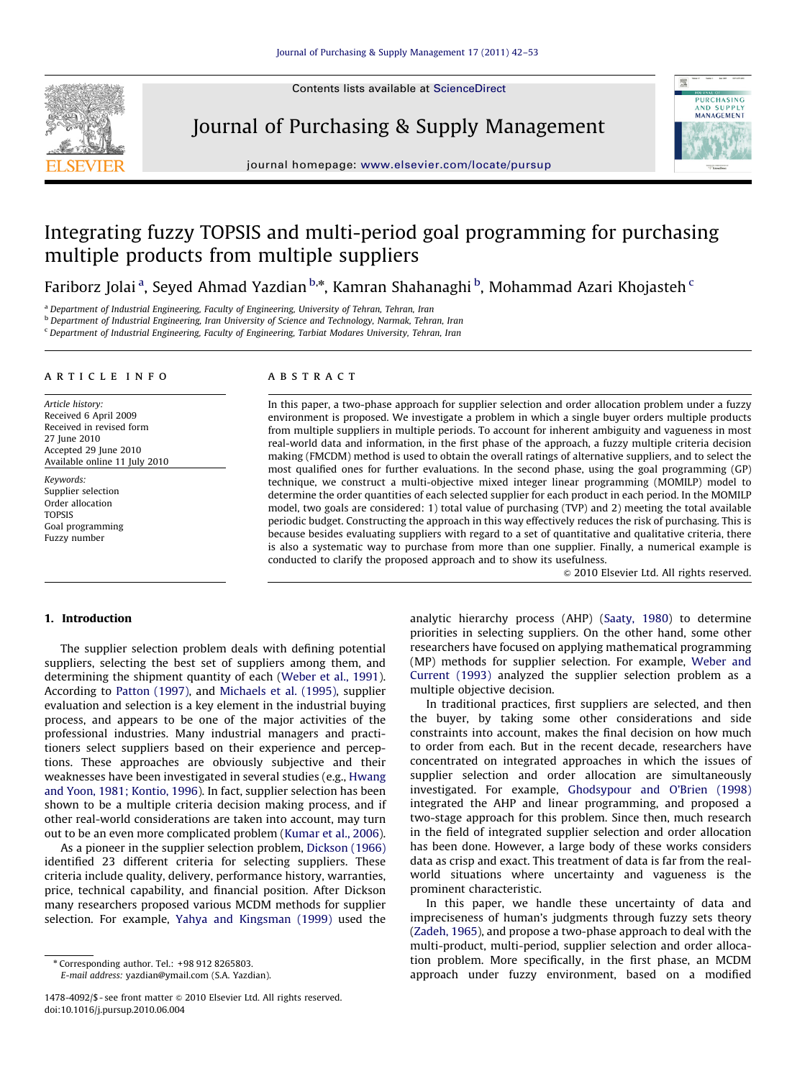Contents lists available at ScienceDirect



Journal of Purchasing & Supply Management



journal homepage: <www.elsevier.com/locate/pursup>

# Integrating fuzzy TOPSIS and multi-period goal programming for purchasing multiple products from multiple suppliers

Fariborz Jolai <sup>a</sup>, Seyed Ahmad Yazdian <sup>b,</sup>\*, Kamran Shahanaghi <sup>b</sup>, Mohammad Azari Khojasteh <sup>c</sup>

<sup>a</sup> Department of Industrial Engineering, Faculty of Engineering, University of Tehran, Tehran, Iran

b Department of Industrial Engineering, Iran University of Science and Technology, Narmak, Tehran, Iran

 $\,^{\mathrm{c}}$  Department of Industrial Engineering, Faculty of Engineering, Tarbiat Modares University, Tehran, Iran

#### article info

Article history: Received 6 April 2009 Received in revised form 27 June 2010 Accepted 29 June 2010 Available online 11 July 2010

Keywords: Supplier selection Order allocation TOPSIS Goal programming Fuzzy number

## **ABSTRACT**

In this paper, a two-phase approach for supplier selection and order allocation problem under a fuzzy environment is proposed. We investigate a problem in which a single buyer orders multiple products from multiple suppliers in multiple periods. To account for inherent ambiguity and vagueness in most real-world data and information, in the first phase of the approach, a fuzzy multiple criteria decision making (FMCDM) method is used to obtain the overall ratings of alternative suppliers, and to select the most qualified ones for further evaluations. In the second phase, using the goal programming (GP) technique, we construct a multi-objective mixed integer linear programming (MOMILP) model to determine the order quantities of each selected supplier for each product in each period. In the MOMILP model, two goals are considered: 1) total value of purchasing (TVP) and 2) meeting the total available periodic budget. Constructing the approach in this way effectively reduces the risk of purchasing. This is because besides evaluating suppliers with regard to a set of quantitative and qualitative criteria, there is also a systematic way to purchase from more than one supplier. Finally, a numerical example is conducted to clarify the proposed approach and to show its usefulness.

 $© 2010 Elsevier Ltd. All rights reserved.$ 

# 1. Introduction

The supplier selection problem deals with defining potential suppliers, selecting the best set of suppliers among them, and determining the shipment quantity of each ([Weber et al., 1991\)](#page--1-0). According to [Patton \(1997\),](#page--1-0) and [Michaels et al. \(1995\)](#page--1-0), supplier evaluation and selection is a key element in the industrial buying process, and appears to be one of the major activities of the professional industries. Many industrial managers and practitioners select suppliers based on their experience and perceptions. These approaches are obviously subjective and their weaknesses have been investigated in several studies (e.g., [Hwang](#page--1-0) [and Yoon, 1981; Kontio, 1996\)](#page--1-0). In fact, supplier selection has been shown to be a multiple criteria decision making process, and if other real-world considerations are taken into account, may turn out to be an even more complicated problem [\(Kumar et al., 2006\)](#page--1-0).

As a pioneer in the supplier selection problem, [Dickson \(1966\)](#page--1-0) identified 23 different criteria for selecting suppliers. These criteria include quality, delivery, performance history, warranties, price, technical capability, and financial position. After Dickson many researchers proposed various MCDM methods for supplier selection. For example, [Yahya and Kingsman \(1999\)](#page--1-0) used the

E-mail address: [yazdian@ymail.com \(S.A. Yazdian\).](mailto:yazdian@ymail.com)

analytic hierarchy process (AHP) [\(Saaty, 1980\)](#page--1-0) to determine priorities in selecting suppliers. On the other hand, some other researchers have focused on applying mathematical programming (MP) methods for supplier selection. For example, [Weber and](#page--1-0) [Current \(1993\)](#page--1-0) analyzed the supplier selection problem as a multiple objective decision.

In traditional practices, first suppliers are selected, and then the buyer, by taking some other considerations and side constraints into account, makes the final decision on how much to order from each. But in the recent decade, researchers have concentrated on integrated approaches in which the issues of supplier selection and order allocation are simultaneously investigated. For example, [Ghodsypour and O'Brien \(1998\)](#page--1-0) integrated the AHP and linear programming, and proposed a two-stage approach for this problem. Since then, much research in the field of integrated supplier selection and order allocation has been done. However, a large body of these works considers data as crisp and exact. This treatment of data is far from the realworld situations where uncertainty and vagueness is the prominent characteristic.

In this paper, we handle these uncertainty of data and impreciseness of human's judgments through fuzzy sets theory ([Zadeh, 1965](#page--1-0)), and propose a two-phase approach to deal with the multi-product, multi-period, supplier selection and order allocation problem. More specifically, in the first phase, an MCDM approach under fuzzy environment, based on a modified

<sup>n</sup> Corresponding author. Tel.: +98 912 8265803.

<sup>1478-4092/\$ -</sup> see front matter @ 2010 Elsevier Ltd. All rights reserved. doi:[10.1016/j.pursup.2010.06.004](dx.doi.org/10.1016/j.pursup.2010.06.004)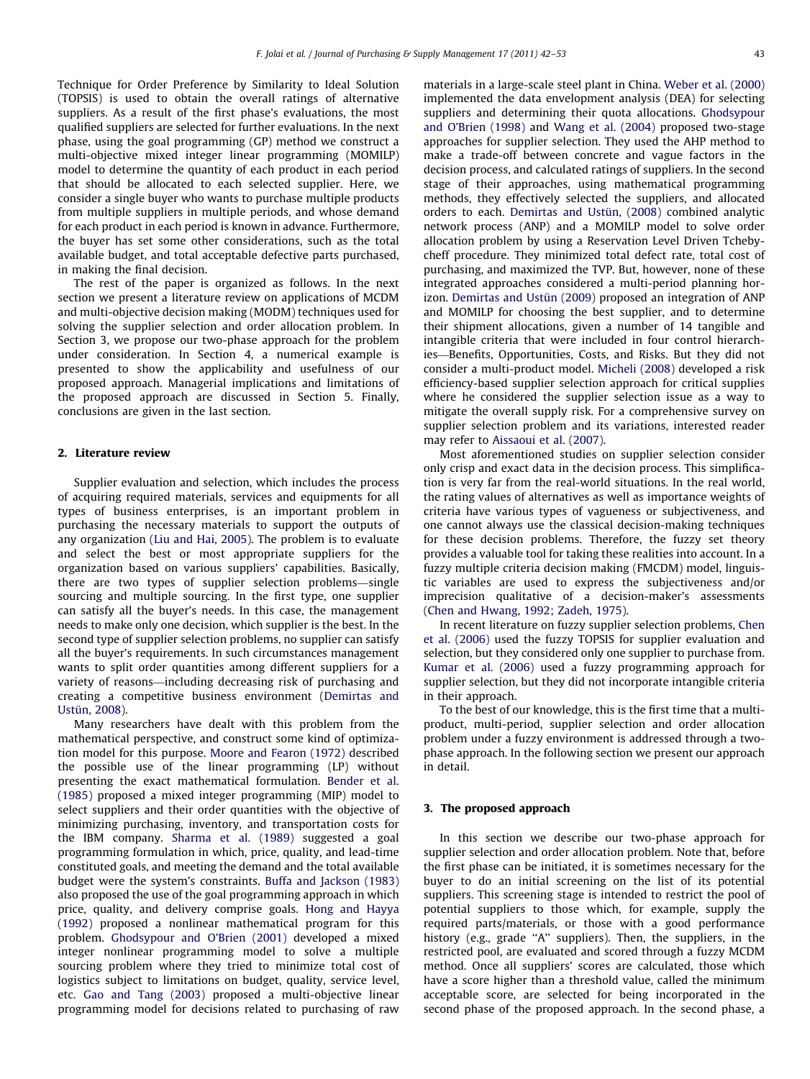Technique for Order Preference by Similarity to Ideal Solution (TOPSIS) is used to obtain the overall ratings of alternative suppliers. As a result of the first phase's evaluations, the most qualified suppliers are selected for further evaluations. In the next phase, using the goal programming (GP) method we construct a multi-objective mixed integer linear programming (MOMILP) model to determine the quantity of each product in each period that should be allocated to each selected supplier. Here, we consider a single buyer who wants to purchase multiple products from multiple suppliers in multiple periods, and whose demand for each product in each period is known in advance. Furthermore, the buyer has set some other considerations, such as the total available budget, and total acceptable defective parts purchased, in making the final decision.

The rest of the paper is organized as follows. In the next section we present a literature review on applications of MCDM and multi-objective decision making (MODM) techniques used for solving the supplier selection and order allocation problem. In Section 3, we propose our two-phase approach for the problem under consideration. In Section 4, a numerical example is presented to show the applicability and usefulness of our proposed approach. Managerial implications and limitations of the proposed approach are discussed in Section 5. Finally, conclusions are given in the last section.

# 2. Literature review

Supplier evaluation and selection, which includes the process of acquiring required materials, services and equipments for all types of business enterprises, is an important problem in purchasing the necessary materials to support the outputs of any organization [\(Liu and Hai, 2005\)](#page--1-0). The problem is to evaluate and select the best or most appropriate suppliers for the organization based on various suppliers' capabilities. Basically, there are two types of supplier selection problems—single sourcing and multiple sourcing. In the first type, one supplier can satisfy all the buyer's needs. In this case, the management needs to make only one decision, which supplier is the best. In the second type of supplier selection problems, no supplier can satisfy all the buyer's requirements. In such circumstances management wants to split order quantities among different suppliers for a variety of reasons—including decreasing risk of purchasing and creating a competitive business environment [\(Demirtas and](#page--1-0) Ustün, 2008).

Many researchers have dealt with this problem from the mathematical perspective, and construct some kind of optimization model for this purpose. [Moore and Fearon \(1972\)](#page--1-0) described the possible use of the linear programming (LP) without presenting the exact mathematical formulation. [Bender et al.](#page--1-0) [\(1985\)](#page--1-0) proposed a mixed integer programming (MIP) model to select suppliers and their order quantities with the objective of minimizing purchasing, inventory, and transportation costs for the IBM company. [Sharma et al. \(1989\)](#page--1-0) suggested a goal programming formulation in which, price, quality, and lead-time constituted goals, and meeting the demand and the total available budget were the system's constraints. [Buffa and Jackson \(1983\)](#page--1-0) also proposed the use of the goal programming approach in which price, quality, and delivery comprise goals. [Hong and Hayya](#page--1-0) [\(1992\)](#page--1-0) proposed a nonlinear mathematical program for this problem. [Ghodsypour and O'Brien \(2001\)](#page--1-0) developed a mixed integer nonlinear programming model to solve a multiple sourcing problem where they tried to minimize total cost of logistics subject to limitations on budget, quality, service level, etc. [Gao and Tang \(2003\)](#page--1-0) proposed a multi-objective linear programming model for decisions related to purchasing of raw

materials in a large-scale steel plant in China. [Weber et al. \(2000\)](#page--1-0) implemented the data envelopment analysis (DEA) for selecting suppliers and determining their quota allocations. [Ghodsypour](#page--1-0) [and O'Brien \(1998\)](#page--1-0) and [Wang et al. \(2004\)](#page--1-0) proposed two-stage approaches for supplier selection. They used the AHP method to make a trade-off between concrete and vague factors in the decision process, and calculated ratings of suppliers. In the second stage of their approaches, using mathematical programming methods, they effectively selected the suppliers, and allocated orders to each. Demirtas and Ustün, (2008) combined analytic network process (ANP) and a MOMILP model to solve order allocation problem by using a Reservation Level Driven Tchebycheff procedure. They minimized total defect rate, total cost of purchasing, and maximized the TVP. But, however, none of these integrated approaches considered a multi-period planning horizon. Demirtas and Ustün (2009) proposed an integration of ANP and MOMILP for choosing the best supplier, and to determine their shipment allocations, given a number of 14 tangible and intangible criteria that were included in four control hierarchies—Benefits, Opportunities, Costs, and Risks. But they did not consider a multi-product model. [Micheli \(2008\)](#page--1-0) developed a risk efficiency-based supplier selection approach for critical supplies where he considered the supplier selection issue as a way to mitigate the overall supply risk. For a comprehensive survey on supplier selection problem and its variations, interested reader may refer to [Aissaoui et al. \(2007\).](#page--1-0)

Most aforementioned studies on supplier selection consider only crisp and exact data in the decision process. This simplification is very far from the real-world situations. In the real world, the rating values of alternatives as well as importance weights of criteria have various types of vagueness or subjectiveness, and one cannot always use the classical decision-making techniques for these decision problems. Therefore, the fuzzy set theory provides a valuable tool for taking these realities into account. In a fuzzy multiple criteria decision making (FMCDM) model, linguistic variables are used to express the subjectiveness and/or imprecision qualitative of a decision-maker's assessments ([Chen and Hwang, 1992; Zadeh, 1975\)](#page--1-0).

In recent literature on fuzzy supplier selection problems, [Chen](#page--1-0) [et al. \(2006\)](#page--1-0) used the fuzzy TOPSIS for supplier evaluation and selection, but they considered only one supplier to purchase from. [Kumar et al. \(2006\)](#page--1-0) used a fuzzy programming approach for supplier selection, but they did not incorporate intangible criteria in their approach.

To the best of our knowledge, this is the first time that a multiproduct, multi-period, supplier selection and order allocation problem under a fuzzy environment is addressed through a twophase approach. In the following section we present our approach in detail.

## 3. The proposed approach

In this section we describe our two-phase approach for supplier selection and order allocation problem. Note that, before the first phase can be initiated, it is sometimes necessary for the buyer to do an initial screening on the list of its potential suppliers. This screening stage is intended to restrict the pool of potential suppliers to those which, for example, supply the required parts/materials, or those with a good performance history (e.g., grade ''A'' suppliers). Then, the suppliers, in the restricted pool, are evaluated and scored through a fuzzy MCDM method. Once all suppliers' scores are calculated, those which have a score higher than a threshold value, called the minimum acceptable score, are selected for being incorporated in the second phase of the proposed approach. In the second phase, a